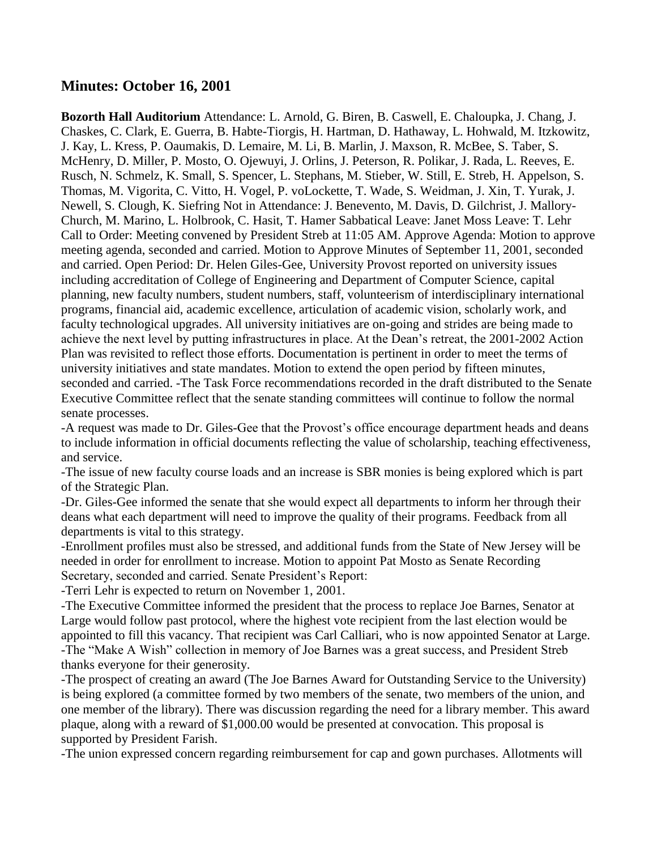## **Minutes: October 16, 2001**

**Bozorth Hall Auditorium** Attendance: L. Arnold, G. Biren, B. Caswell, E. Chaloupka, J. Chang, J. Chaskes, C. Clark, E. Guerra, B. Habte-Tiorgis, H. Hartman, D. Hathaway, L. Hohwald, M. Itzkowitz, J. Kay, L. Kress, P. Oaumakis, D. Lemaire, M. Li, B. Marlin, J. Maxson, R. McBee, S. Taber, S. McHenry, D. Miller, P. Mosto, O. Ojewuyi, J. Orlins, J. Peterson, R. Polikar, J. Rada, L. Reeves, E. Rusch, N. Schmelz, K. Small, S. Spencer, L. Stephans, M. Stieber, W. Still, E. Streb, H. Appelson, S. Thomas, M. Vigorita, C. Vitto, H. Vogel, P. voLockette, T. Wade, S. Weidman, J. Xin, T. Yurak, J. Newell, S. Clough, K. Siefring Not in Attendance: J. Benevento, M. Davis, D. Gilchrist, J. Mallory-Church, M. Marino, L. Holbrook, C. Hasit, T. Hamer Sabbatical Leave: Janet Moss Leave: T. Lehr Call to Order: Meeting convened by President Streb at 11:05 AM. Approve Agenda: Motion to approve meeting agenda, seconded and carried. Motion to Approve Minutes of September 11, 2001, seconded and carried. Open Period: Dr. Helen Giles-Gee, University Provost reported on university issues including accreditation of College of Engineering and Department of Computer Science, capital planning, new faculty numbers, student numbers, staff, volunteerism of interdisciplinary international programs, financial aid, academic excellence, articulation of academic vision, scholarly work, and faculty technological upgrades. All university initiatives are on-going and strides are being made to achieve the next level by putting infrastructures in place. At the Dean's retreat, the 2001-2002 Action Plan was revisited to reflect those efforts. Documentation is pertinent in order to meet the terms of university initiatives and state mandates. Motion to extend the open period by fifteen minutes, seconded and carried. -The Task Force recommendations recorded in the draft distributed to the Senate Executive Committee reflect that the senate standing committees will continue to follow the normal senate processes.

-A request was made to Dr. Giles-Gee that the Provost's office encourage department heads and deans to include information in official documents reflecting the value of scholarship, teaching effectiveness, and service.

-The issue of new faculty course loads and an increase is SBR monies is being explored which is part of the Strategic Plan.

-Dr. Giles-Gee informed the senate that she would expect all departments to inform her through their deans what each department will need to improve the quality of their programs. Feedback from all departments is vital to this strategy.

-Enrollment profiles must also be stressed, and additional funds from the State of New Jersey will be needed in order for enrollment to increase. Motion to appoint Pat Mosto as Senate Recording Secretary, seconded and carried. Senate President's Report:

-Terri Lehr is expected to return on November 1, 2001.

-The Executive Committee informed the president that the process to replace Joe Barnes, Senator at Large would follow past protocol, where the highest vote recipient from the last election would be appointed to fill this vacancy. That recipient was Carl Calliari, who is now appointed Senator at Large. -The "Make A Wish" collection in memory of Joe Barnes was a great success, and President Streb thanks everyone for their generosity.

-The prospect of creating an award (The Joe Barnes Award for Outstanding Service to the University) is being explored (a committee formed by two members of the senate, two members of the union, and one member of the library). There was discussion regarding the need for a library member. This award plaque, along with a reward of \$1,000.00 would be presented at convocation. This proposal is supported by President Farish.

-The union expressed concern regarding reimbursement for cap and gown purchases. Allotments will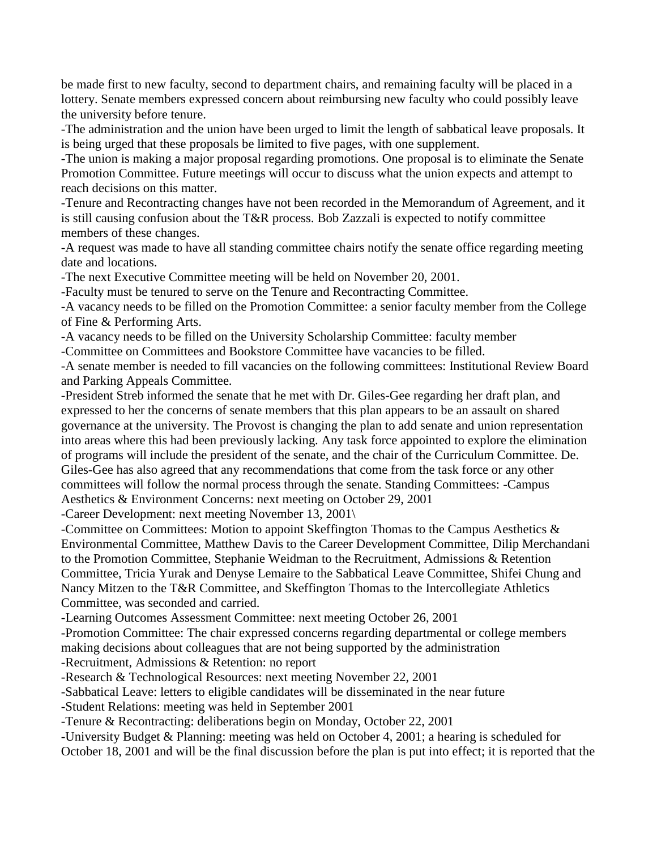be made first to new faculty, second to department chairs, and remaining faculty will be placed in a lottery. Senate members expressed concern about reimbursing new faculty who could possibly leave the university before tenure.

-The administration and the union have been urged to limit the length of sabbatical leave proposals. It is being urged that these proposals be limited to five pages, with one supplement.

-The union is making a major proposal regarding promotions. One proposal is to eliminate the Senate Promotion Committee. Future meetings will occur to discuss what the union expects and attempt to reach decisions on this matter.

-Tenure and Recontracting changes have not been recorded in the Memorandum of Agreement, and it is still causing confusion about the T&R process. Bob Zazzali is expected to notify committee members of these changes.

-A request was made to have all standing committee chairs notify the senate office regarding meeting date and locations.

-The next Executive Committee meeting will be held on November 20, 2001.

-Faculty must be tenured to serve on the Tenure and Recontracting Committee.

-A vacancy needs to be filled on the Promotion Committee: a senior faculty member from the College of Fine & Performing Arts.

-A vacancy needs to be filled on the University Scholarship Committee: faculty member

-Committee on Committees and Bookstore Committee have vacancies to be filled.

-A senate member is needed to fill vacancies on the following committees: Institutional Review Board and Parking Appeals Committee.

-President Streb informed the senate that he met with Dr. Giles-Gee regarding her draft plan, and expressed to her the concerns of senate members that this plan appears to be an assault on shared governance at the university. The Provost is changing the plan to add senate and union representation into areas where this had been previously lacking. Any task force appointed to explore the elimination of programs will include the president of the senate, and the chair of the Curriculum Committee. De. Giles-Gee has also agreed that any recommendations that come from the task force or any other committees will follow the normal process through the senate. Standing Committees: -Campus Aesthetics & Environment Concerns: next meeting on October 29, 2001

-Career Development: next meeting November 13, 2001\

-Committee on Committees: Motion to appoint Skeffington Thomas to the Campus Aesthetics & Environmental Committee, Matthew Davis to the Career Development Committee, Dilip Merchandani to the Promotion Committee, Stephanie Weidman to the Recruitment, Admissions & Retention Committee, Tricia Yurak and Denyse Lemaire to the Sabbatical Leave Committee, Shifei Chung and Nancy Mitzen to the T&R Committee, and Skeffington Thomas to the Intercollegiate Athletics Committee, was seconded and carried.

-Learning Outcomes Assessment Committee: next meeting October 26, 2001

-Promotion Committee: The chair expressed concerns regarding departmental or college members making decisions about colleagues that are not being supported by the administration

-Recruitment, Admissions & Retention: no report

-Research & Technological Resources: next meeting November 22, 2001

-Sabbatical Leave: letters to eligible candidates will be disseminated in the near future

-Student Relations: meeting was held in September 2001

-Tenure & Recontracting: deliberations begin on Monday, October 22, 2001

-University Budget & Planning: meeting was held on October 4, 2001; a hearing is scheduled for

October 18, 2001 and will be the final discussion before the plan is put into effect; it is reported that the